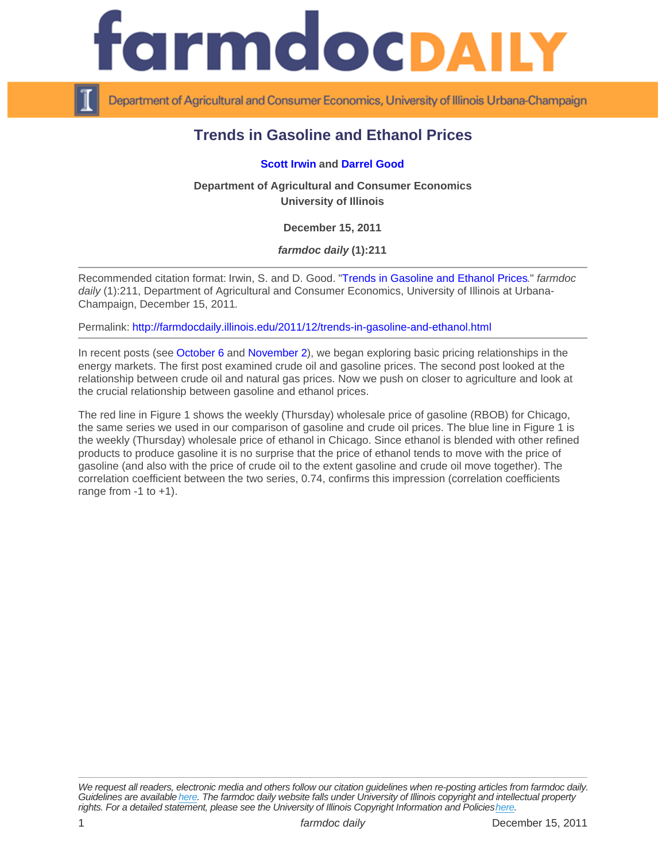## Trends in Gasoline and Ethanol Prices

## [Scott Irwin](http://www.farmdoc.illinois.edu/irwin/) and [Darrel Good](http://www.farmdoc.illinois.edu/good/)

Department of Agricultural and Consumer Economics University of Illinois

December 15, 2011

farmdoc daily (1):211

Recommended citation format: Irwin, S. and D. Good. "[Trends in Gasoline and Ethanol Prices.](http://farmdocdaily.illinois.edu/2011/12/trends-in-gasoline-and-ethanol.html)" farmdoc daily (1):211, Department of Agricultural and Consumer Economics, University of Illinois at Urbana-Champaign, December 15, 2011.

Permalink:<http://farmdocdaily.illinois.edu/2011/12/trends-in-gasoline-and-ethanol.html>

In recent posts (see [October 6](http://farmdocdaily.illinois.edu/2011/10/trends-in-crude-oil-and-gasoli-1.html) and [November 2](http://farmdocdaily.illinois.edu/2011/11/trends_in_crude_oil_and_natura.html)), we began exploring basic pricing relationships in the energy markets. The first post examined crude oil and gasoline prices. The second post looked at the relationship between crude oil and natural gas prices. Now we push on closer to agriculture and look at the crucial relationship between gasoline and ethanol prices.

The red line in Figure 1 shows the weekly (Thursday) wholesale price of gasoline (RBOB) for Chicago, the same series we used in our comparison of gasoline and crude oil prices. The blue line in Figure 1 is the weekly (Thursday) wholesale price of ethanol in Chicago. Since ethanol is blended with other refined products to produce gasoline it is no surprise that the price of ethanol tends to move with the price of gasoline (and also with the price of crude oil to the extent gasoline and crude oil move together). The correlation coefficient between the two series, 0.74, confirms this impression (correlation coefficients range from  $-1$  to  $+1$ ).

We request all readers, electronic media and others follow our citation guidelines when re-posting articles from farmdoc daily. Guidelines are available [here](http://farmdocdaily.illinois.edu/citationguide.html). The farmdoc daily website falls under University of Illinois copyright and intellectual property rights. For a detailed statement, please see the University of Illinois Copyright Information and Policies [here.](https://techservices.illinois.edu/office-cio)